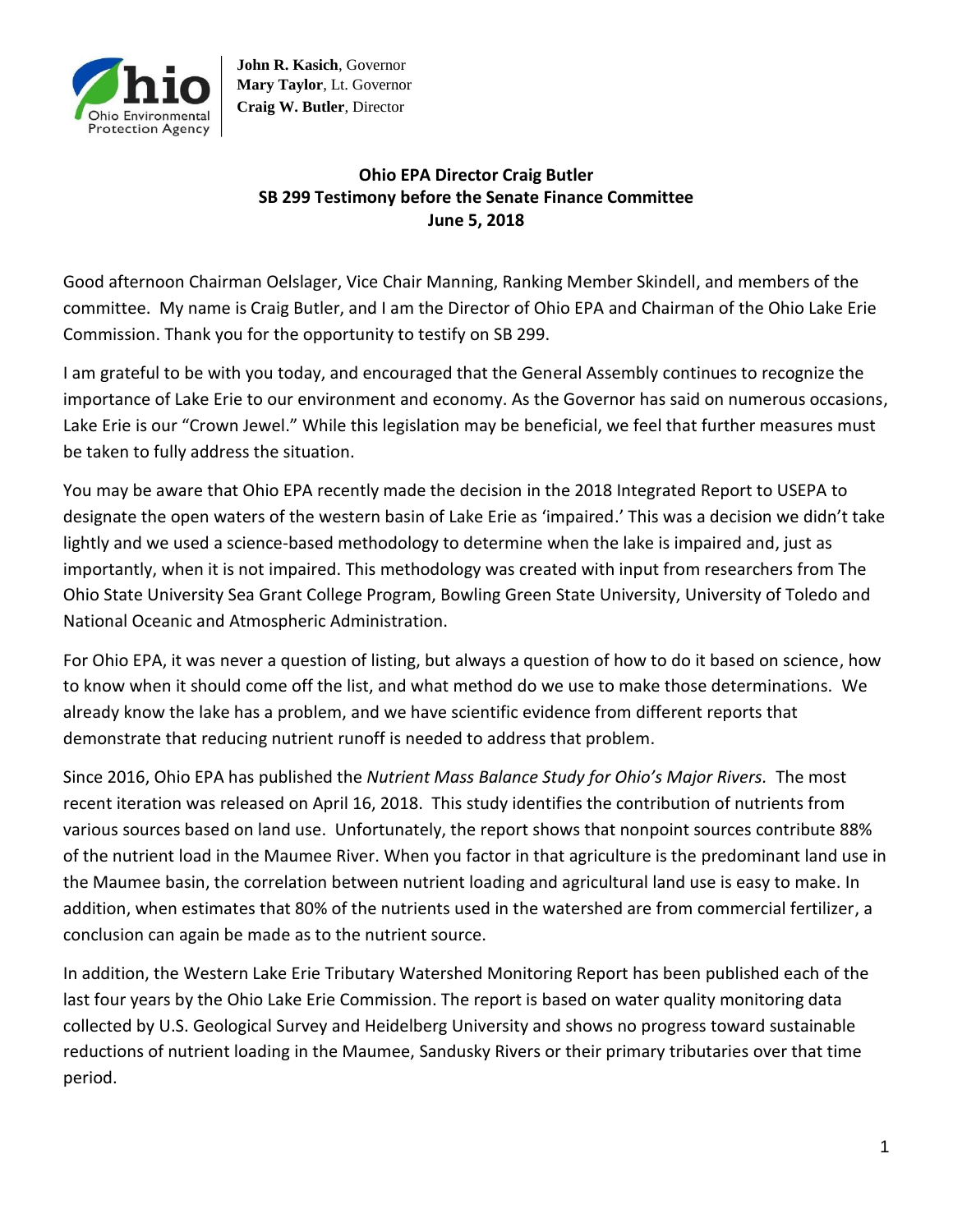

**John R. Kasich**, Governor **Mary Taylor**, Lt. Governor **Craig W. Butler**, Director

## **Ohio EPA Director Craig Butler SB 299 Testimony before the Senate Finance Committee June 5, 2018**

Good afternoon Chairman Oelslager, Vice Chair Manning, Ranking Member Skindell, and members of the committee. My name is Craig Butler, and I am the Director of Ohio EPA and Chairman of the Ohio Lake Erie Commission. Thank you for the opportunity to testify on SB 299.

I am grateful to be with you today, and encouraged that the General Assembly continues to recognize the importance of Lake Erie to our environment and economy. As the Governor has said on numerous occasions, Lake Erie is our "Crown Jewel." While this legislation may be beneficial, we feel that further measures must be taken to fully address the situation.

You may be aware that Ohio EPA recently made the decision in the 2018 Integrated Report to USEPA to designate the open waters of the western basin of Lake Erie as 'impaired.' This was a decision we didn't take lightly and we used a science-based methodology to determine when the lake is impaired and, just as importantly, when it is not impaired. This methodology was created with input from researchers from The Ohio State University Sea Grant College Program, Bowling Green State University, University of Toledo and National Oceanic and Atmospheric Administration.

For Ohio EPA, it was never a question of listing, but always a question of how to do it based on science, how to know when it should come off the list, and what method do we use to make those determinations. We already know the lake has a problem, and we have scientific evidence from different reports that demonstrate that reducing nutrient runoff is needed to address that problem.

Since 2016, Ohio EPA has published the *Nutrient Mass Balance Study for Ohio's Major Rivers.* The most recent iteration was released on April 16, 2018. This study identifies the contribution of nutrients from various sources based on land use. Unfortunately, the report shows that nonpoint sources contribute 88% of the nutrient load in the Maumee River. When you factor in that agriculture is the predominant land use in the Maumee basin, the correlation between nutrient loading and agricultural land use is easy to make. In addition, when estimates that 80% of the nutrients used in the watershed are from commercial fertilizer, a conclusion can again be made as to the nutrient source.

In addition, the Western Lake Erie Tributary Watershed Monitoring Report has been published each of the last four years by the Ohio Lake Erie Commission. The report is based on water quality monitoring data collected by U.S. Geological Survey and Heidelberg University and shows no progress toward sustainable reductions of nutrient loading in the Maumee, Sandusky Rivers or their primary tributaries over that time period.